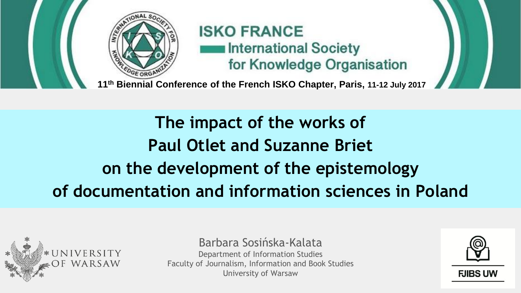

## **ISKO FRANCE International Society** for Knowledge Organisation

**11th Biennial Conference of the French ISKO Chapter, Paris, 11-12 July 2017**

**The impact of the works of Paul Otlet and Suzanne Briet on the development of the epistemology of documentation and information sciences in Poland**



Barbara Sosińska-Kalata Department of Information Studies Faculty of Journalism, Information and Book Studies University of Warsaw

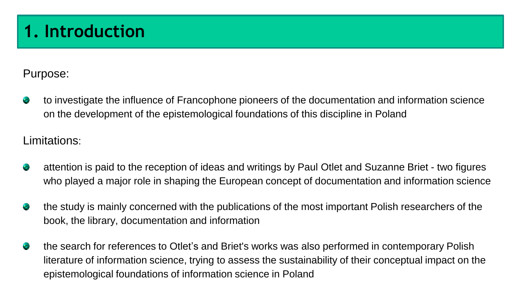# **1. Introduction**

Purpose:

to investigate the influence of Francophone pioneers of the documentation and information science on the development of the epistemological foundations of this discipline in Poland

Limitations:

- attention is paid to the reception of ideas and writings by Paul Otlet and Suzanne Briet two figures ÷ who played a major role in shaping the European concept of documentation and information science
- ۰ the study is mainly concerned with the publications of the most important Polish researchers of the book, the library, documentation and information
- the search for references to Otlet's and Briet's works was also performed in contemporary Polish ÷ literature of information science, trying to assess the sustainability of their conceptual impact on the epistemological foundations of information science in Poland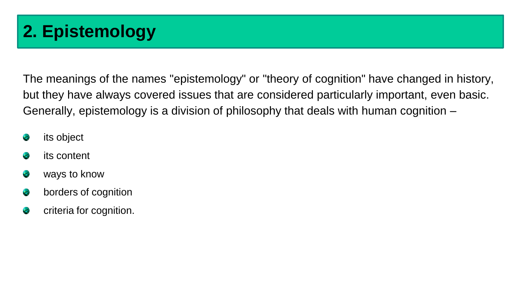# **2. Epistemology**

The meanings of the names "epistemology" or "theory of cognition" have changed in history, but they have always covered issues that are considered particularly important, even basic. Generally, epistemology is a division of philosophy that deals with human cognition –

- its object œ
- its content e.
- ways to know e.
- e borders of cognition
- criteria for cognition.e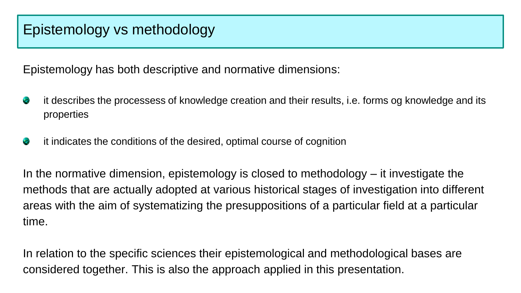Epistemology has both descriptive and normative dimensions:

- it describes the processess of knowledge creation and their results, i.e. forms og knowledge and its œ. properties
- ÷, it indicates the conditions of the desired, optimal course of cognition

In the normative dimension, epistemology is closed to methodology  $-$  it investigate the methods that are actually adopted at various historical stages of investigation into different areas with the aim of systematizing the presuppositions of a particular field at a particular time.

In relation to the specific sciences their epistemological and methodological bases are considered together. This is also the approach applied in this presentation.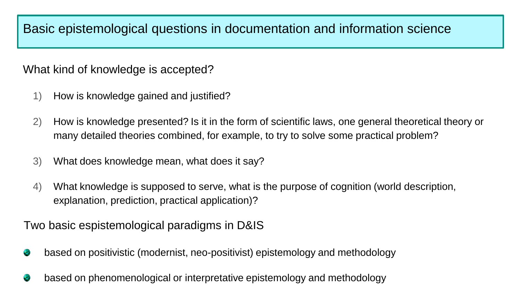Basic epistemological questions in documentation and information science

What kind of knowledge is accepted?

- 1) How is knowledge gained and justified?
- 2) How is knowledge presented? Is it in the form of scientific laws, one general theoretical theory or many detailed theories combined, for example, to try to solve some practical problem?
- 3) What does knowledge mean, what does it say?
- 4) What knowledge is supposed to serve, what is the purpose of cognition (world description, explanation, prediction, practical application)?

Two basic espistemological paradigms in D&IS

- based on positivistic (modernist, neo-positivist) epistemology and methodology ×.
- based on phenomenological or interpretative epistemology and methodology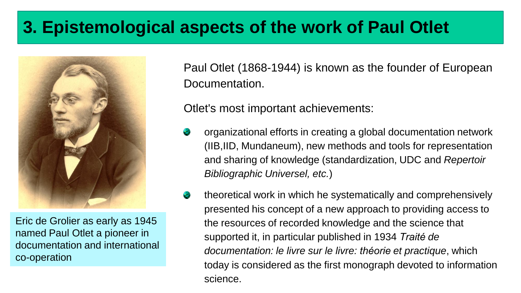# **3. Epistemological aspects of the work of Paul Otlet**



Eric de Grolier as early as 1945 named Paul Otlet a pioneer in documentation and international co-operation

Paul Otlet (1868-1944) is known as the founder of European Documentation.

Otlet's most important achievements:

- organizational efforts in creating a global documentation network (IIB,IID, Mundaneum), new methods and tools for representation and sharing of knowledge (standardization, UDC and *Repertoir Bibliographic Universel, etc.*)
- theoretical work in which he systematically and comprehensively S. presented his concept of a new approach to providing access to the resources of recorded knowledge and the science that supported it, in particular published in 1934 *Traité de documentation: le livre sur le livre: théorie et practique*, which today is considered as the first monograph devoted to information science.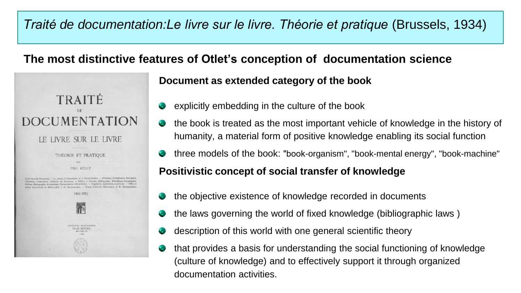## *Traité de documentation:Le livre sur le livre. Théorie et pratique* (Brussels, 1934)

#### **The most distinctive features of Otlet's conception of documentation science**



#### **Document as extended category of the book**

- explicitly embedding in the culture of the book
- the book is treated as the most important vehicle of knowledge in the history of humanity, a material form of positive knowledge enabling its social function
- three models of the book: "book-organism", "book-mental energy", "book-machine"

#### **Positivistic concept of social transfer of knowledge**

- the objective existence of knowledge recorded in documents
- the laws governing the world of fixed knowledge (bibliographic laws )
- description of this world with one general scientific theory
- that provides a basis for understanding the social functioning of knowledge (culture of knowledge) and to effectively support it through organized documentation activities.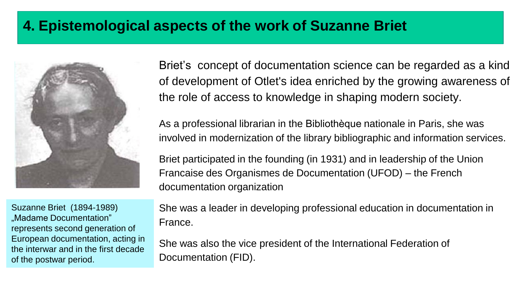## **4. Epistemological aspects of the work of Suzanne Briet**



Suzanne Briet (1894-1989) "Madame Documentation" represents second generation of European documentation, acting in the interwar and in the first decade of the postwar period.

Briet's concept of documentation science can be regarded as a kind of development of Otlet's idea enriched by the growing awareness of the role of access to knowledge in shaping modern society.

As a professional librarian in the Bibliothèque nationale in Paris, she was involved in modernization of the library bibliographic and information services.

Briet participated in the founding (in 1931) and in leadership of the Union Francaise des Organismes de Documentation (UFOD) – the French documentation organization

She was a leader in developing professional education in documentation in France.

She was also the vice president of the International Federation of Documentation (FID).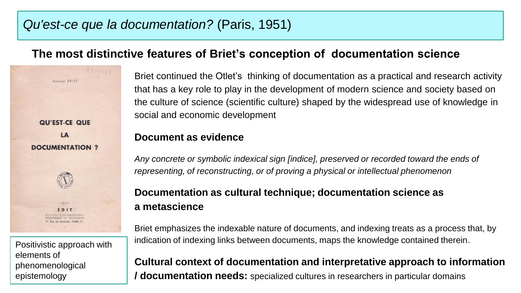#### *Qu'est-ce que la documentation?* (Paris, 1951)

#### **The most distinctive features of Briet's conception of documentation science**

**QU'EST-CE QUE LA DOCUMENTATION ?**  $1951$ **EDIT** Positivistic approach with elements of phenomenological epistemology

SUZANNE BRIET

Briet continued the Otlet's thinking of documentation as a practical and research activity that has a key role to play in the development of modern science and society based on the culture of science (scientific culture) shaped by the widespread use of knowledge in social and economic development

#### **Document as evidence**

*Any concrete or symbolic indexical sign [indice], preserved or recorded toward the ends of representing, of reconstructing, or of proving a physical or intellectual phenomenon*

#### **Documentation as cultural technique; documentation science as a metascience**

Briet emphasizes the indexable nature of documents, and indexing treats as a process that, by indication of indexing links between documents, maps the knowledge contained therein.

**Cultural context of documentation and interpretative approach to information / documentation needs:** specialized cultures in researchers in particular domains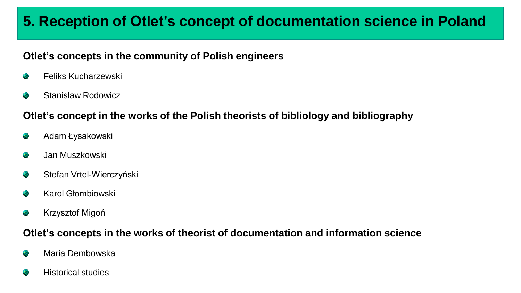## **5. Reception of Otlet's concept of documentation science in Poland**

#### **Otlet's concepts in the community of Polish engineers**

- Feliks Kucharzewski ÷
- Stanislaw Rodowicz ۰

#### **Otlet's concept in the works of the Polish theorists of bibliology and bibliography**

- Adam Łysakowski  $\bullet$
- Jan Muszkowski ۰
- Stefan Vrtel-Wierczyński ÷
- Karol Głombiowski e
- Krzysztof Migoń ÷

#### **Otlet's concepts in the works of theorist of documentation and information science**

- Maria Dembowska ÷
- Historical studies ÷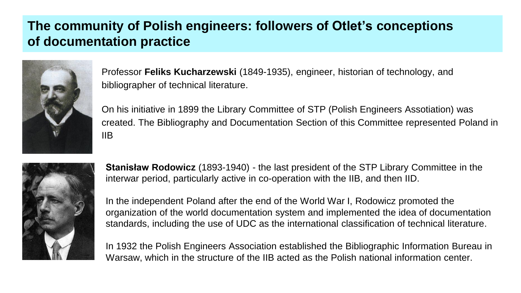### **The community of Polish engineers: followers of Otlet's conceptions of documentation practice**



Professor **Feliks Kucharzewski** (1849-1935), engineer, historian of technology, and bibliographer of technical literature.

On his initiative in 1899 the Library Committee of STP (Polish Engineers Assotiation) was created. The Bibliography and Documentation Section of this Committee represented Poland in IIB



**Stanisław Rodowicz** (1893-1940) - the last president of the STP Library Committee in the interwar period, particularly active in co-operation with the IIB, and then IID.

In the independent Poland after the end of the World War I, Rodowicz promoted the organization of the world documentation system and implemented the idea of documentation standards, including the use of UDC as the international classification of technical literature.

In 1932 the Polish Engineers Association established the Bibliographic Information Bureau in Warsaw, which in the structure of the IIB acted as the Polish national information center.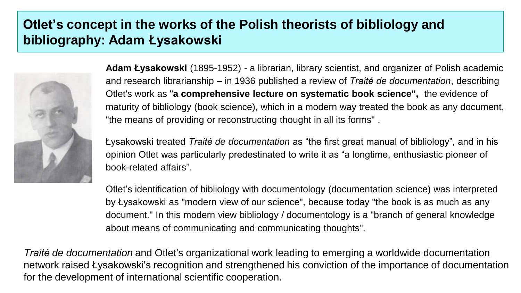### **Otlet's concept in the works of the Polish theorists of bibliology and bibliography: Adam Łysakowski**



**Adam Łysakowski** (1895-1952) - a librarian, library scientist, and organizer of Polish academic and research librarianship – in 1936 published a review of *Traité de documentation*, describing Otlet's work as "**a comprehensive lecture on systematic book science",** the evidence of maturity of bibliology (book science), which in a modern way treated the book as any document, "the means of providing or reconstructing thought in all its forms" .

Łysakowski treated *Traité de documentation* as "the first great manual of bibliology", and in his opinion Otlet was particularly predestinated to write it as "a longtime, enthusiastic pioneer of book-related affairs".

Otlet's identification of bibliology with documentology (documentation science) was interpreted by Łysakowski as "modern view of our science", because today "the book is as much as any document." In this modern view bibliology / documentology is a "branch of general knowledge about means of communicating and communicating thoughts".

*Traité de documentation* and Otlet's organizational work leading to emerging a worldwide documentation network raised Łysakowski's recognition and strengthened his conviction of the importance of documentation for the development of international scientific cooperation.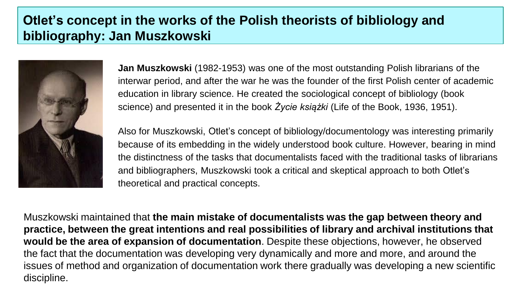### **Otlet's concept in the works of the Polish theorists of bibliology and bibliography: Jan Muszkowski**



**Jan Muszkowski** (1982-1953) was one of the most outstanding Polish librarians of the interwar period, and after the war he was the founder of the first Polish center of academic education in library science. He created the sociological concept of bibliology (book science) and presented it in the book *Życie książki* (Life of the Book, 1936, 1951).

Also for Muszkowski, Otlet's concept of bibliology/documentology was interesting primarily because of its embedding in the widely understood book culture. However, bearing in mind the distinctness of the tasks that documentalists faced with the traditional tasks of librarians and bibliographers, Muszkowski took a critical and skeptical approach to both Otlet's theoretical and practical concepts.

Muszkowski maintained that **the main mistake of documentalists was the gap between theory and practice, between the great intentions and real possibilities of library and archival institutions that would be the area of expansion of documentation**. Despite these objections, however, he observed the fact that the documentation was developing very dynamically and more and more, and around the issues of method and organization of documentation work there gradually was developing a new scientific discipline.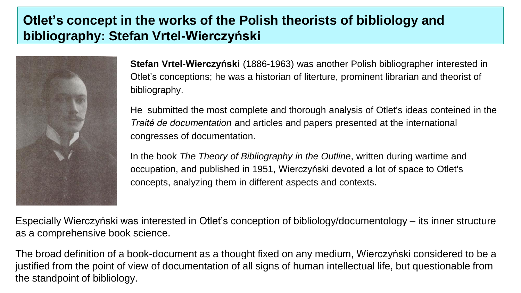## **Otlet's concept in the works of the Polish theorists of bibliology and bibliography: Stefan Vrtel-Wierczyński**



**Stefan Vrtel-Wierczyński** (1886-1963) was another Polish bibliographer interested in Otlet's conceptions; he was a historian of literture, prominent librarian and theorist of bibliography.

He submitted the most complete and thorough analysis of Otlet's ideas conteined in the *Traité de documentation* and articles and papers presented at the international congresses of documentation.

In the book *The Theory of Bibliography in the Outline*, written during wartime and occupation, and published in 1951, Wierczyński devoted a lot of space to Otlet's concepts, analyzing them in different aspects and contexts.

Especially Wierczyński was interested in Otlet's conception of bibliology/documentology – its inner structure as a comprehensive book science.

The broad definition of a book-document as a thought fixed on any medium, Wierczyński considered to be a justified from the point of view of documentation of all signs of human intellectual life, but questionable from the standpoint of bibliology.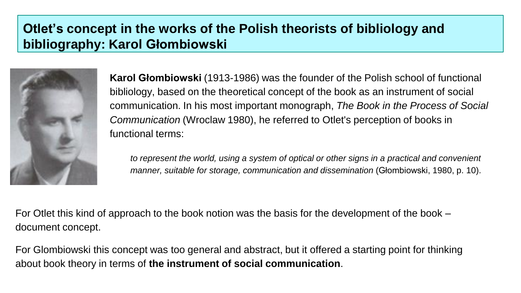## **Otlet's concept in the works of the Polish theorists of bibliology and bibliography: Karol Głombiowski**



**Karol Głombiowski** (1913-1986) was the founder of the Polish school of functional bibliology, based on the theoretical concept of the book as an instrument of social communication. In his most important monograph, *The Book in the Process of Social Communication* (Wroclaw 1980), he referred to Otlet's perception of books in functional terms:

*to represent the world, using a system of optical or other signs in a practical and convenient manner, suitable for storage, communication and dissemination* (Głombiowski, 1980, p. 10).

For Otlet this kind of approach to the book notion was the basis for the development of the book – document concept.

For Glombiowski this concept was too general and abstract, but it offered a starting point for thinking about book theory in terms of **the instrument of social communication**.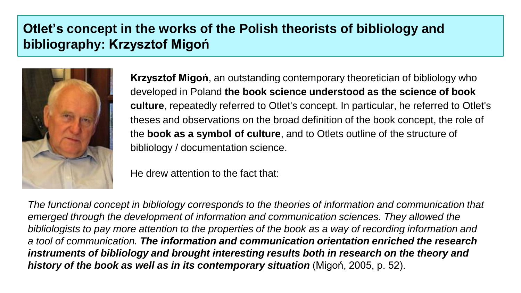## **Otlet's concept in the works of the Polish theorists of bibliology and bibliography: Krzysztof Migoń**



**Krzysztof Migoń**, an outstanding contemporary theoretician of bibliology who developed in Poland **the book science understood as the science of book culture**, repeatedly referred to Otlet's concept. In particular, he referred to Otlet's theses and observations on the broad definition of the book concept, the role of the **book as a symbol of culture**, and to Otlets outline of the structure of bibliology / documentation science.

He drew attention to the fact that:

*The functional concept in bibliology corresponds to the theories of information and communication that emerged through the development of information and communication sciences. They allowed the bibliologists to pay more attention to the properties of the book as a way of recording information and a tool of communication. The information and communication orientation enriched the research instruments of bibliology and brought interesting results both in research on the theory and history of the book as well as in its contemporary situation* (Migoń, 2005, p. 52).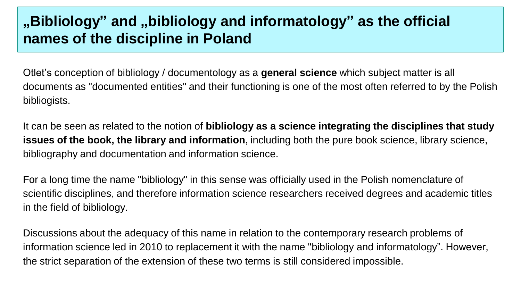## **"Bibliology" and "bibliology and informatology" as the official names of the discipline in Poland**

Otlet's conception of bibliology / documentology as a **general science** which subject matter is all documents as "documented entities" and their functioning is one of the most often referred to by the Polish bibliogists.

It can be seen as related to the notion of **bibliology as a science integrating the disciplines that study issues of the book, the library and information**, including both the pure book science, library science, bibliography and documentation and information science.

For a long time the name "bibliology" in this sense was officially used in the Polish nomenclature of scientific disciplines, and therefore information science researchers received degrees and academic titles in the field of bibliology.

Discussions about the adequacy of this name in relation to the contemporary research problems of information science led in 2010 to replacement it with the name "bibliology and informatology". However, the strict separation of the extension of these two terms is still considered impossible.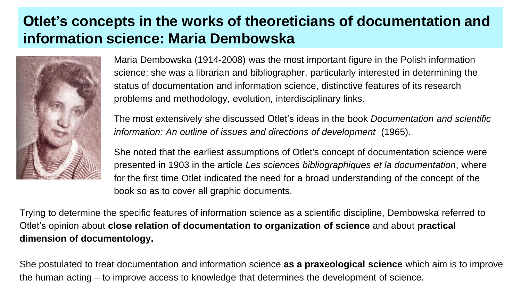## **Otlet's concepts in the works of theoreticians of documentation and information science: Maria Dembowska**



Maria Dembowska (1914-2008) was the most important figure in the Polish information science; she was a librarian and bibliographer, particularly interested in determining the status of documentation and information science, distinctive features of its research problems and methodology, evolution, interdisciplinary links.

The most extensively she discussed Otlet's ideas in the book *Documentation and scientific information: An outline of issues and directions of development* (1965).

She noted that the earliest assumptions of Otlet's concept of documentation science were presented in 1903 in the article *Les sciences bibliographiques et la documentation*, where for the first time Otlet indicated the need for a broad understanding of the concept of the book so as to cover all graphic documents.

Trying to determine the specific features of information science as a scientific discipline, Dembowska referred to Otlet's opinion about **close relation of documentation to organization of science** and about **practical dimension of documentology.**

She postulated to treat documentation and information science **as a praxeological science** which aim is to improve the human acting – to improve access to knowledge that determines the development of science.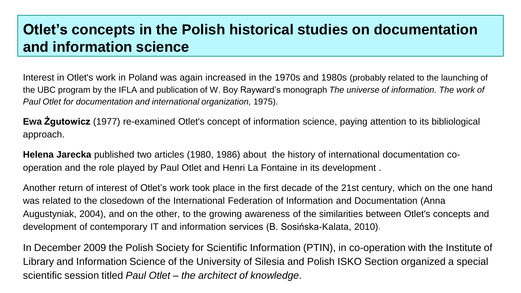## **Otlet's concepts in the Polish historical studies on documentation and information science**

Interest in Otlet's work in Poland was again increased in the 1970s and 1980s (probably related to the launching of the UBC program by the IFLA and publication of W. Boy Rayward's monograph *The universe of information. The work of Paul Otlet for documentation and international organization,* 1975).

**Ewa Żgutowicz** (1977) re-examined Otlet's concept of information science, paying attention to its bibliological approach.

**Helena Jarecka** published two articles (1980, 1986) about the history of international documentation cooperation and the role played by Paul Otlet and Henri La Fontaine in its development .

Another return of interest of Otlet's work took place in the first decade of the 21st century, which on the one hand was related to the closedown of the International Federation of Information and Documentation (Anna Augustyniak, 2004), and on the other, to the growing awareness of the similarities between Otlet's concepts and development of contemporary IT and information services (B. Sosińska-Kalata, 2010).

In December 2009 the Polish Society for Scientific Information (PTIN), in co-operation with the Institute of Library and Information Science of the University of Silesia and Polish ISKO Section organized a special scientific session titled *Paul Otlet – the architect of knowledge*.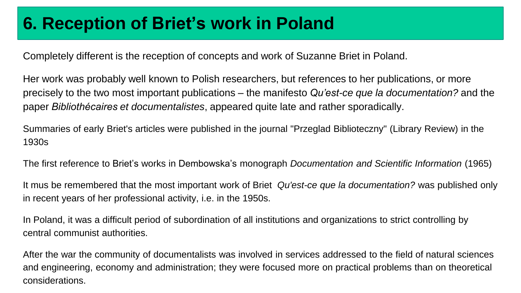# **6. Reception of Briet's work in Poland**

Completely different is the reception of concepts and work of Suzanne Briet in Poland.

Her work was probably well known to Polish researchers, but references to her publications, or more precisely to the two most important publications – the manifesto *Qu'est-ce que la documentation?* and the paper *Bibliothécaires et documentalistes*, appeared quite late and rather sporadically.

Summaries of early Briet's articles were published in the journal "Przeglad Biblioteczny" (Library Review) in the 1930s

The first reference to Briet's works in Dembowska's monograph *Documentation and Scientific Information* (1965)

It mus be remembered that the most important work of Briet *Qu'est-ce que la documentation?* was published only in recent years of her professional activity, i.e. in the 1950s.

In Poland, it was a difficult period of subordination of all institutions and organizations to strict controlling by central communist authorities.

After the war the community of documentalists was involved in services addressed to the field of natural sciences and engineering, economy and administration; they were focused more on practical problems than on theoretical considerations.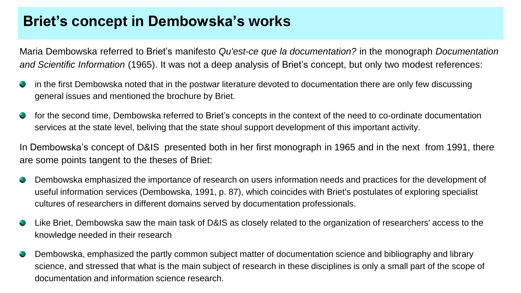## **Briet's concept in Dembowska's works**

Maria Dembowska referred to Briet's manifesto *Qu'est-ce que la documentation?* in the monograph *Documentation and Scientific Information* (1965). It was not a deep analysis of Briet's concept, but only two modest references:

- $\mathcal{L}$ in the first Dembowska noted that in the postwar literature devoted to documentation there are only few discussing general issues and mentioned the brochure by Briet.
- for the second time, Dembowska referred to Briet's concepts in the context of the need to co-ordinate documentation  $\mathcal{L}$ services at the state level, beliving that the state shoul support development of this important activity.

In Dembowska's concept of D&IS presented both in her first monograph in 1965 and in the next from 1991, there are some points tangent to the theses of Briet:

- Dembowska emphasized the importance of research on users information needs and practices for the development of  $\mathcal{L}$ useful information services (Dembowska, 1991, p. 87), which coincides with Briet's postulates of exploring specialist cultures of researchers in different domains served by documentation professionals.
- Like Briet, Dembowska saw the main task of D&IS as closely related to the organization of researchers' access to the ❤ knowledge needed in their research
- $\mathcal{L}$ Dembowska, emphasized the partly common subject matter of documentation science and bibliography and library science, and stressed that what is the main subject of research in these disciplines is only a small part of the scope of documentation and information science research.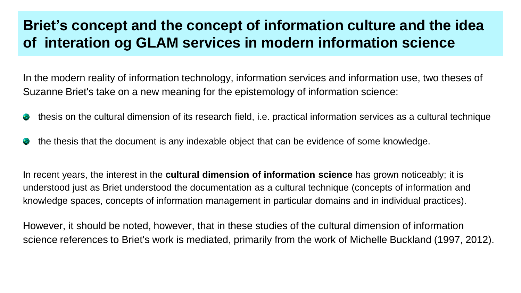## **Briet's concept and the concept of information culture and the idea of interation og GLAM services in modern information science**

In the modern reality of information technology, information services and information use, two theses of Suzanne Briet's take on a new meaning for the epistemology of information science:

- thesis on the cultural dimension of its research field, i.e. practical information services as a cultural technique ۰
- the thesis that the document is any indexable object that can be evidence of some knowledge. C,

In recent years, the interest in the **cultural dimension of information science** has grown noticeably; it is understood just as Briet understood the documentation as a cultural technique (concepts of information and knowledge spaces, concepts of information management in particular domains and in individual practices).

However, it should be noted, however, that in these studies of the cultural dimension of information science references to Briet's work is mediated, primarily from the work of Michelle Buckland (1997, 2012).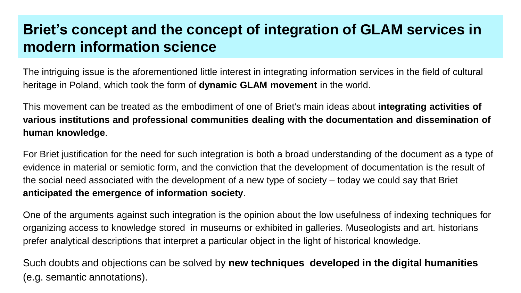## **Briet's concept and the concept of integration of GLAM services in modern information science**

The intriguing issue is the aforementioned little interest in integrating information services in the field of cultural heritage in Poland, which took the form of **dynamic GLAM movement** in the world.

This movement can be treated as the embodiment of one of Briet's main ideas about **integrating activities of various institutions and professional communities dealing with the documentation and dissemination of human knowledge**.

For Briet justification for the need for such integration is both a broad understanding of the document as a type of evidence in material or semiotic form, and the conviction that the development of documentation is the result of the social need associated with the development of a new type of society – today we could say that Briet **anticipated the emergence of information society**.

One of the arguments against such integration is the opinion about the low usefulness of indexing techniques for organizing access to knowledge stored in museums or exhibited in galleries. Museologists and art. historians prefer analytical descriptions that interpret a particular object in the light of historical knowledge.

Such doubts and objections can be solved by **new techniques developed in the digital humanities** (e.g. semantic annotations).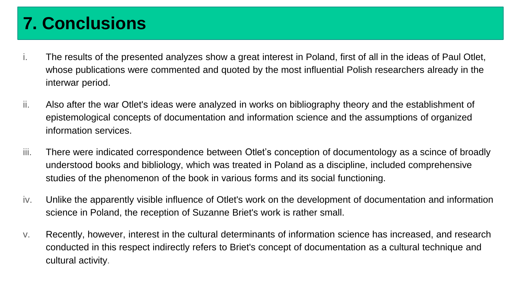# **7. Conclusions**

- i. The results of the presented analyzes show a great interest in Poland, first of all in the ideas of Paul Otlet, whose publications were commented and quoted by the most influential Polish researchers already in the interwar period.
- ii. Also after the war Otlet's ideas were analyzed in works on bibliography theory and the establishment of epistemological concepts of documentation and information science and the assumptions of organized information services.
- iii. There were indicated correspondence between Otlet's conception of documentology as a scince of broadly understood books and bibliology, which was treated in Poland as a discipline, included comprehensive studies of the phenomenon of the book in various forms and its social functioning.
- iv. Unlike the apparently visible influence of Otlet's work on the development of documentation and information science in Poland, the reception of Suzanne Briet's work is rather small.
- v. Recently, however, interest in the cultural determinants of information science has increased, and research conducted in this respect indirectly refers to Briet's concept of documentation as a cultural technique and cultural activity.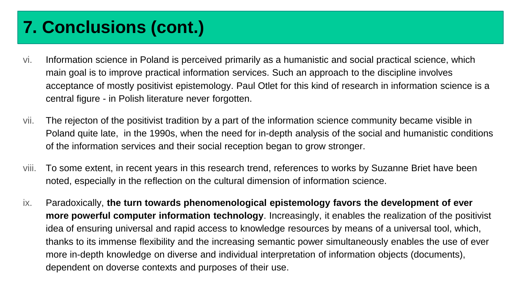# **7. Conclusions (cont.)**

- vi. Information science in Poland is perceived primarily as a humanistic and social practical science, which main goal is to improve practical information services. Such an approach to the discipline involves acceptance of mostly positivist epistemology. Paul Otlet for this kind of research in information science is a central figure - in Polish literature never forgotten.
- vii. The rejecton of the positivist tradition by a part of the information science community became visible in Poland quite late, in the 1990s, when the need for in-depth analysis of the social and humanistic conditions of the information services and their social reception began to grow stronger.
- viii. To some extent, in recent years in this research trend, references to works by Suzanne Briet have been noted, especially in the reflection on the cultural dimension of information science.
- ix. Paradoxically, **the turn towards phenomenological epistemology favors the development of ever more powerful computer information technology**. Increasingly, it enables the realization of the positivist idea of ensuring universal and rapid access to knowledge resources by means of a universal tool, which, thanks to its immense flexibility and the increasing semantic power simultaneously enables the use of ever more in-depth knowledge on diverse and individual interpretation of information objects (documents), dependent on doverse contexts and purposes of their use.